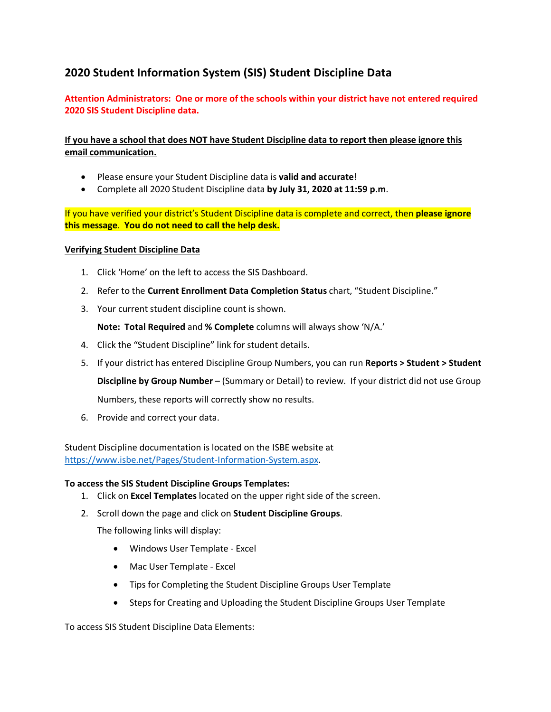## **2020 Student Information System (SIS) Student Discipline Data**

**Attention Administrators: One or more of the schools within your district have not entered required 2020 SIS Student Discipline data.**

**If you have a school that does NOT have Student Discipline data to report then please ignore this email communication.**

- Please ensure your Student Discipline data is **valid and accurate**!
- Complete all 2020 Student Discipline data **by July 31, 2020 at 11:59 p.m**.

If you have verified your district's Student Discipline data is complete and correct, then **please ignore this message**. **You do not need to call the help desk.**

## **Verifying Student Discipline Data**

- 1. Click 'Home' on the left to access the SIS Dashboard.
- 2. Refer to the **Current Enrollment Data Completion Status** chart, "Student Discipline."
- 3. Your current student discipline count is shown.

**Note: Total Required** and **% Complete** columns will always show 'N/A.'

- 4. Click the "Student Discipline" link for student details.
- 5. If your district has entered Discipline Group Numbers, you can run **Reports > Student > Student**

**Discipline by Group Number** – (Summary or Detail) to review. If your district did not use Group

Numbers, these reports will correctly show no results.

6. Provide and correct your data.

Student Discipline documentation is located on the ISBE website at [https://www.isbe.net/Pages/Student-Information-System.aspx.](https://www.isbe.net/Pages/Student-Information-System.aspx)

## **To access the SIS Student Discipline Groups Templates:**

- 1. Click on **Excel Templates** located on the upper right side of the screen.
- 2. Scroll down the page and click on **Student Discipline Groups**.

The following links will display:

- Windows User Template Excel
- Mac User Template Excel
- Tips for Completing the Student Discipline Groups User Template
- Steps for Creating and Uploading the Student Discipline Groups User Template

To access SIS Student Discipline Data Elements: